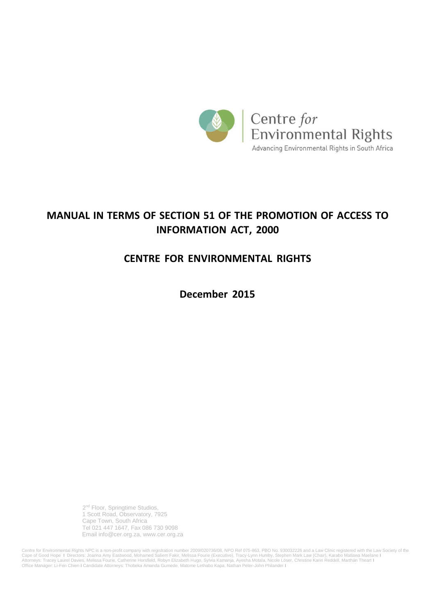

# **MANUAL IN TERMS OF SECTION 51 OF THE PROMOTION OF ACCESS TO INFORMATION ACT, 2000**

# **CENTRE FOR ENVIRONMENTAL RIGHTS**

**December 2015**

 2 2<sup>nd</sup> Floor, Springtime Studios, 1 Scott Road, Observatory, 7925 Cape Town, South Africa Tel 021 447 1647, Fax 086 730 9098 Email info@cer.org.za, [www.cer.org.za](http://www.cer.org.za/)

Centre for Environmental Rights NPC is a non-profit company with registration number 2009/020736/08, NPO Ref 075-863, PBO No. 930032226 and a Law Clinic registered with the Law Society of the<br>Cape of Good Hope I Directors: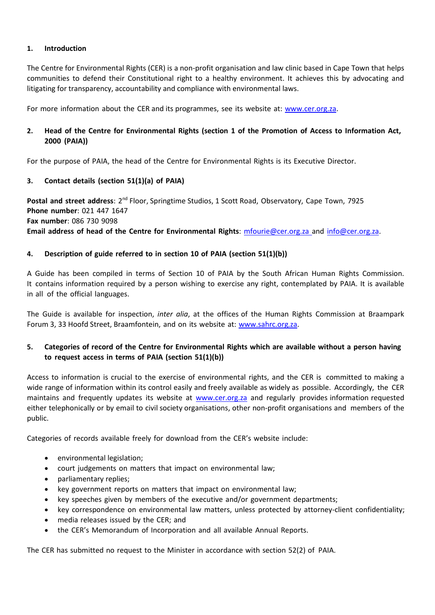# **1. Introduction**

The Centre for Environmental Rights (CER) is a non-profit organisation and law clinic based in Cape Town that helps communities to defend their Constitutional right to a healthy environment. It achieves this by advocating and litigating for transparency, accountability and compliance with environmental laws.

For more information about the CER and its programmes, see its website at: [www.cer.org.za.](http://www.cer.org.za/)

# 2. Head of the Centre for Environmental Rights (section 1 of the Promotion of Access to Information Act, **2000 (PAIA))**

For the purpose of PAIA, the head of the Centre for Environmental Rights is its Executive Director.

# **3. Contact details (section 51(1)(a) of PAIA)**

**Postal and street address**: 2<sup>nd</sup> Floor, Springtime Studios, 1 Scott Road, Observatory, Cape Town, 7925 **Phone number**: 021 447 1647 **Fax number**: 086 730 9098 **Email address of head of the Centre for Environmental Rights**: [mfourie@cer.org.za](mailto:mfourie@cer.org.za) and [info@cer.org.za.](mailto:info@cer.org.za)

### **4. Description of guide referred to in section 10 of PAIA (section 51(1)(b))**

A Guide has been compiled in terms of Section 10 of PAIA by the South African Human Rights Commission. It contains information required by a person wishing to exercise any right, contemplated by PAIA. It is available in all of the official languages.

The Guide is available for inspection, *inter alia*, at the offices of the Human Rights Commission at Braampark Forum 3, 33 Hoofd Street, Braamfontein, and on its website at: [www.sahrc.org.za.](http://www.sahrc.org.za/)

# 5. Categories of record of the Centre for Environmental Rights which are available without a person having **to request access in terms of PAIA (section 51(1)(b))**

Access to information is crucial to the exercise of environmental rights, and the CER is committed to making a wide range of information within its control easily and freely available as widely as possible. Accordingly, the CER maintains and frequently updates its website at [www.cer.org.za](http://www.cer.org.za/) and regularly provides information requested either telephonically or by email to civil society organisations, other non‐profit organisations and members of the public.

Categories of records available freely for download from the CER's website include:

- environmental legislation;
- court judgements on matters that impact on environmental law;
- parliamentary replies;
- key government reports on matters that impact on environmental law;
- key speeches given by members of the executive and/or government departments;
- key correspondence on environmental law matters, unless protected by attorney-client confidentiality;
- media releases issued by the CER; and
- the CER's Memorandum of Incorporation and all available Annual Reports.

The CER has submitted no request to the Minister in accordance with section 52(2) of PAIA.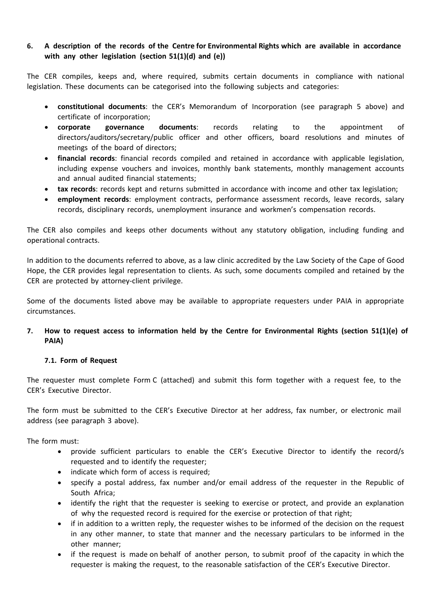# **6. A description of the records of the Centre for Environmental Rights which are available in accordance with any other legislation (section 51(1)(d) and (e))**

The CER compiles, keeps and, where required, submits certain documents in compliance with national legislation. These documents can be categorised into the following subjects and categories:

- **constitutional documents**: the CER's Memorandum of Incorporation (see paragraph 5 above) and certificate of incorporation;
- **corporate governance documents**: records relating to the appointment of directors/auditors/secretary/public officer and other officers, board resolutions and minutes of meetings of the board of directors;
- **financial records**: financial records compiled and retained in accordance with applicable legislation, including expense vouchers and invoices, monthly bank statements, monthly management accounts and annual audited financial statements;
- **tax records**: records kept and returns submitted in accordance with income and other tax legislation;
- **employment records**: employment contracts, performance assessment records, leave records, salary records, disciplinary records, unemployment insurance and workmen's compensation records.

The CER also compiles and keeps other documents without any statutory obligation, including funding and operational contracts.

In addition to the documents referred to above, as a law clinic accredited by the Law Society of the Cape of Good Hope, the CER provides legal representation to clients. As such, some documents compiled and retained by the CER are protected by attorney‐client privilege.

Some of the documents listed above may be available to appropriate requesters under PAIA in appropriate circumstances.

# **7. How to request access to information held by the Centre for Environmental Rights (section 51(1)(e) of PAIA)**

# **7.1. Form of Request**

The requester must complete Form C (attached) and submit this form together with a request fee, to the CER's Executive Director.

The form must be submitted to the CER's Executive Director at her address, fax number, or electronic mail address (see paragraph 3 above).

The form must:

- provide sufficient particulars to enable the CER's Executive Director to identify the record/s requested and to identify the requester;
- indicate which form of access is required;
- specify a postal address, fax number and/or email address of the requester in the Republic of South Africa;
- identify the right that the requester is seeking to exercise or protect, and provide an explanation of why the requested record is required for the exercise or protection of that right;
- if in addition to a written reply, the requester wishes to be informed of the decision on the request in any other manner, to state that manner and the necessary particulars to be informed in the other manner;
- if the request is made on behalf of another person, to submit proof of the capacity in which the requester is making the request, to the reasonable satisfaction of the CER's Executive Director.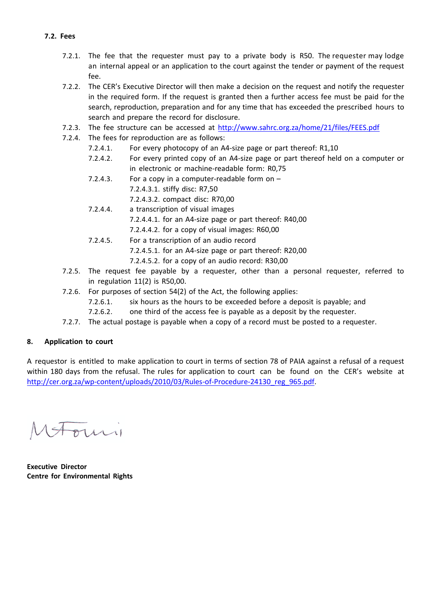- 7.2.1. The fee that the requester must pay to a private body is R50. The requester may lodge an internal appeal or an application to the court against the tender or payment of the request fee.
	- 7.2.2. The CER's Executive Director will then make a decision on the request and notify the requester in the required form. If the request is granted then a further access fee must be paid for the search, reproduction, preparation and for any time that has exceeded the prescribed hours to search and prepare the record for disclosure.
	- 7.2.3. The fee structure can be accessed at <http://www.sahrc.org.za/home/21/files/FEES.pdf>
	- 7.2.4. The fees for reproduction are as follows:
		- 7.2.4.1. For every photocopy of an A4‐size page or part thereof: R1,10
		- 7.2.4.2. For every printed copy of an A4‐size page or part thereof held on a computer or in electronic or machine‐readable form: R0,75
		- 7.2.4.3. For a copy in a computer-readable form on  $-$ 
			- 7.2.4.3.1. stiffy disc: R7,50
				- 7.2.4.3.2. compact disc: R70,00
		- 7.2.4.4. a transcription of visual images 7.2.4.4.1. for an A4‐size page or part thereof: R40,00
			- 7.2.4.4.2. for a copy of visual images: R60,00
		- 7.2.4.5. For a transcription of an audio record 7.2.4.5.1. for an A4‐size page or part thereof: R20,00
			- 7.2.4.5.2. for a copy of an audio record: R30,00
	- 7.2.5. The request fee payable by a requester, other than a personal requester, referred to in regulation 11(2) is R50,00.
	- 7.2.6. For purposes of section 54(2) of the Act, the following applies:
		- 7.2.6.1. six hours as the hours to be exceeded before a deposit is payable; and
		- 7.2.6.2. one third of the access fee is payable as a deposit by the requester.
	- 7.2.7. The actual postage is payable when a copy of a record must be posted to a requester.

#### **8. Application to court**

A requestor is entitled to make application to court in terms of section 78 of PAIA against a refusal of a request within 180 days from the refusal. The rules for application to court can be found on the CER's website at [http://cer.org.za/wp-content/uploads/2010/03/Rules-of-Procedure-24130\\_reg\\_965.pdf.](http://cer.org.za/wp-content/uploads/2010/03/Rules-of-Procedure-24130_reg_965.pdf)

**Executive Director Centre for Environmental Rights**

### **7.2. Fees**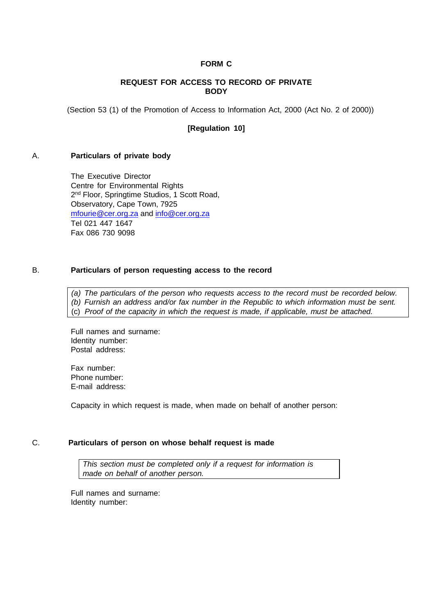#### **FORM C**

#### **REQUEST FOR ACCESS TO RECORD OF PRIVATE BODY**

(Section 53 (1) of the Promotion of Access to Information Act, 2000 (Act No. 2 of 2000))

#### **[Regulation 10]**

#### A. **Particulars of private body**

The Executive Director Centre for Environmental Rights 2 nd Floor, Springtime Studios, 1 Scott Road, Observatory, Cape Town, 7925 [mfourie@cer.org.za](mailto:mfourie@cer.org.za) and [info@cer.org.za](mailto:info@cer.org.za) Tel 021 447 1647 Fax 086 730 9098

#### B. **Particulars of person requesting access to the record**

*(a) The particulars of the person who requests access to the record must be recorded below. (b) Furnish an address and/or fax number in the Republic to which information must be sent.* (c) *Proof of the capacity in which the request is made, if applicable, must be attached.*

Full names and surname: Identity number: Postal address:

Fax number: Phone number: E-mail address:

Capacity in which request is made, when made on behalf of another person:

#### C. **Particulars of person on whose behalf request is made**

*This section must be completed only if a request for information is made on behalf of another person.*

Full names and surname: Identity number: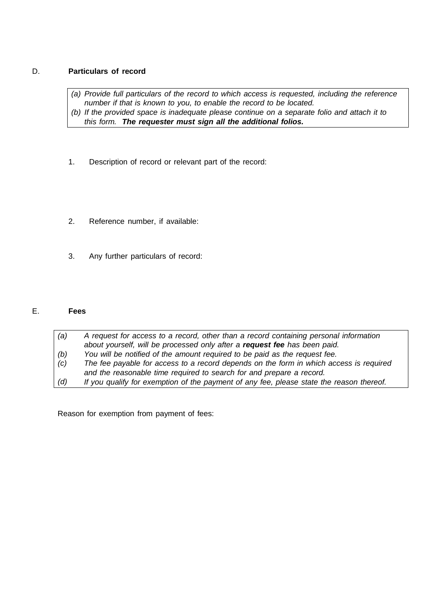# D. **Particulars of record**

*(a) Provide full particulars of the record to which access is requested, including the reference number if that is known to you, to enable the record to be located. (b) If the provided space is inadequate please continue on a separate folio and attach it to this form. The requester must sign all the additional folios.*

- 1. Description of record or relevant part of the record:
- 2. Reference number, if available:
- 3. Any further particulars of record:

# E. **Fees**

*(a) (b) (c) (d) A request for access to a record, other than a record containing personal information about yourself, will be processed only after a request fee has been paid. You will be notified of the amount required to be paid as the request fee. The fee payable for access to a record depends on the form in which access is required and the reasonable time required to search for and prepare a record. If you qualify for exemption of the payment of any fee, please state the reason thereof.*

Reason for exemption from payment of fees: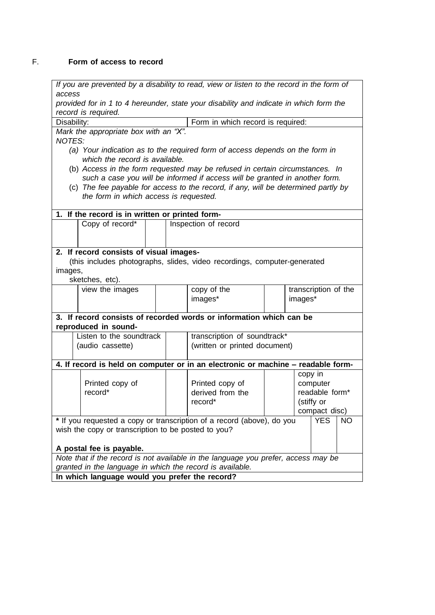# F. **Form of access to record**

*If you are prevented by a disability to read, view or listen to the record in the form of access*

*provided for in 1 to 4 hereunder, state your disability and indicate in which form the record is required.*

Disability:  $\vert$  Form in which record is required: *Mark the appropriate box with an "X". NOTES:*

- *(a) Your indication as to the required form of access depends on the form in which the record is available.*
- (b) *Access in the form requested may be refused in certain circumstances. In such a case you will be informed if access will be granted in another form.*
- (c) *The fee payable for access to the record, if any, will be determined partly by the form in which access is requested.*

| 1. If the record is in written or printed form-                                             |                               |
|---------------------------------------------------------------------------------------------|-------------------------------|
| Inspection of record                                                                        |                               |
|                                                                                             |                               |
|                                                                                             |                               |
| 2. If record consists of visual images-                                                     |                               |
| (this includes photographs, slides, video recordings, computer-generated                    |                               |
|                                                                                             |                               |
|                                                                                             |                               |
| copy of the                                                                                 | transcription of the          |
| images*                                                                                     | images*                       |
|                                                                                             |                               |
| 3. If record consists of recorded words or information which can be                         |                               |
| reproduced in sound-                                                                        |                               |
| transcription of soundtrack*                                                                |                               |
|                                                                                             |                               |
|                                                                                             |                               |
| 4. If record is held on computer or in an electronic or machine - readable form-            |                               |
|                                                                                             | copy in                       |
| Printed copy of                                                                             | computer                      |
| derived from the                                                                            | readable form*                |
| record <sup>*</sup>                                                                         | (stiffy or                    |
|                                                                                             | compact disc)                 |
| * If you requested a copy or transcription of a record (above), do you<br>YES.<br><b>NO</b> |                               |
| wish the copy or transcription to be posted to you?                                         |                               |
|                                                                                             |                               |
| A postal fee is payable.                                                                    |                               |
| Note that if the record is not available in the language you prefer, access may be          |                               |
| granted in the language in which the record is available.                                   |                               |
| In which language would you prefer the record?                                              |                               |
|                                                                                             | (written or printed document) |